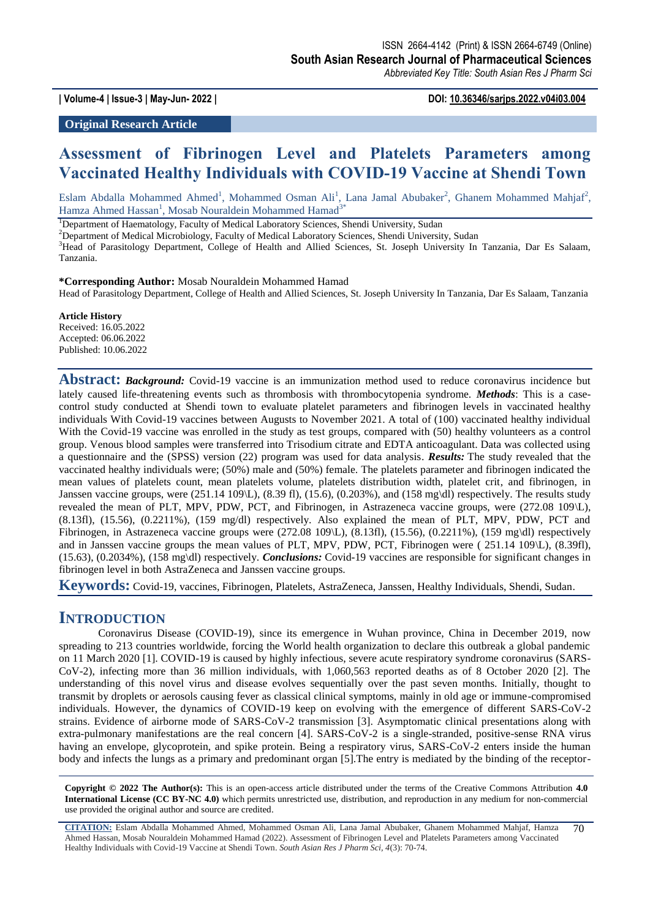**| Volume-4 | Issue-3 | May-Jun- 2022 | DOI: 10.36346/sarjps.2022.v04i03.004**

**Original Research Article**

# **Assessment of Fibrinogen Level and Platelets Parameters among Vaccinated Healthy Individuals with COVID-19 Vaccine at Shendi Town**

Eslam Abdalla Mohammed Ahmed<sup>1</sup>, Mohammed Osman Ali<sup>1</sup>, Lana Jamal Abubaker<sup>2</sup>, Ghanem Mohammed Mahjaf<sup>2</sup>, Hamza Ahmed Hassan<sup>1</sup>, Mosab Nouraldein Mohammed Hamad<sup>3\*</sup>

<sup>1</sup>Department of Haematology, Faculty of Medical Laboratory Sciences, Shendi University, Sudan

<sup>2</sup>Department of Medical Microbiology, Faculty of Medical Laboratory Sciences, Shendi University, Sudan

<sup>3</sup>Head of Parasitology Department, College of Health and Allied Sciences, St. Joseph University In Tanzania, Dar Es Salaam, Tanzania.

**\*Corresponding Author:** Mosab Nouraldein Mohammed Hamad

Head of Parasitology Department, College of Health and Allied Sciences, St. Joseph University In Tanzania, Dar Es Salaam, Tanzania

**Article History** Received: 16.05.2022

Accepted: 06.06.2022 Published: 10.06.2022

**Abstract:** *Background:* Covid-19 vaccine is an immunization method used to reduce coronavirus incidence but lately caused life-threatening events such as thrombosis with thrombocytopenia syndrome. *Methods*: This is a casecontrol study conducted at Shendi town to evaluate platelet parameters and fibrinogen levels in vaccinated healthy individuals With Covid-19 vaccines between Augusts to November 2021. A total of (100) vaccinated healthy individual With the Covid-19 vaccine was enrolled in the study as test groups, compared with (50) healthy volunteers as a control group. Venous blood samples were transferred into Trisodium citrate and EDTA anticoagulant. Data was collected using a questionnaire and the (SPSS) version (22) program was used for data analysis. *Results:* The study revealed that the vaccinated healthy individuals were; (50%) male and (50%) female. The platelets parameter and fibrinogen indicated the mean values of platelets count, mean platelets volume, platelets distribution width, platelet crit, and fibrinogen, in Janssen vaccine groups, were (251.14 109\L), (8.39 fl), (15.6), (0.203%), and (158 mg\dl) respectively. The results study revealed the mean of PLT, MPV, PDW, PCT, and Fibrinogen, in Astrazeneca vaccine groups, were (272.08 109\L), (8.13fl), (15.56), (0.2211%), (159 mg/dl) respectively. Also explained the mean of PLT, MPV, PDW, PCT and Fibrinogen, in Astrazeneca vaccine groups were  $(272.08 \ 109 \L)$ ,  $(8.13\text{fl})$ ,  $(15.56)$ ,  $(0.2211\%)$ ,  $(159 \text{ mg\/dl})$  respectively and in Janssen vaccine groups the mean values of PLT, MPV, PDW, PCT, Fibrinogen were (251.14 109\L), (8.39fl), (15.63), (0.2034%), (158 mg\dl) respectively. *Conclusions:* Covid-19 vaccines are responsible for significant changes in fibrinogen level in both AstraZeneca and Janssen vaccine groups.

**Keywords:** Covid-19, vaccines, Fibrinogen, Platelets, AstraZeneca, Janssen, Healthy Individuals, Shendi, Sudan.

## **INTRODUCTION**

Coronavirus Disease (COVID-19), since its emergence in Wuhan province, China in December 2019, now spreading to 213 countries worldwide, forcing the World health organization to declare this outbreak a global pandemic on 11 March 2020 [1]. COVID-19 is caused by highly infectious, severe acute respiratory syndrome coronavirus (SARS-CoV-2), infecting more than 36 million individuals, with 1,060,563 reported deaths as of 8 October 2020 [2]. The understanding of this novel virus and disease evolves sequentially over the past seven months. Initially, thought to transmit by droplets or aerosols causing fever as classical clinical symptoms, mainly in old age or immune-compromised individuals. However, the dynamics of COVID-19 keep on evolving with the emergence of different SARS-CoV-2 strains. Evidence of airborne mode of SARS-CoV-2 transmission [3]. Asymptomatic clinical presentations along with extra-pulmonary manifestations are the real concern [4]. SARS-CoV-2 is a single-stranded, positive-sense RNA virus having an envelope, glycoprotein, and spike protein. Being a respiratory virus, SARS-CoV-2 enters inside the human body and infects the lungs as a primary and predominant organ [5].The entry is mediated by the binding of the receptor-

**Copyright © 2022 The Author(s):** This is an open-access article distributed under the terms of the Creative Commons Attribution **4.0 International License (CC BY-NC 4.0)** which permits unrestricted use, distribution, and reproduction in any medium for non-commercial use provided the original author and source are credited.

**CITATION:** Eslam Abdalla Mohammed Ahmed, Mohammed Osman Ali, Lana Jamal Abubaker, Ghanem Mohammed Mahjaf, Hamza Ahmed Hassan, Mosab Nouraldein Mohammed Hamad (2022). Assessment of Fibrinogen Level and Platelets Parameters among Vaccinated Healthy Individuals with Covid-19 Vaccine at Shendi Town. *South Asian Res J Pharm Sci, 4*(3): 70-74. 70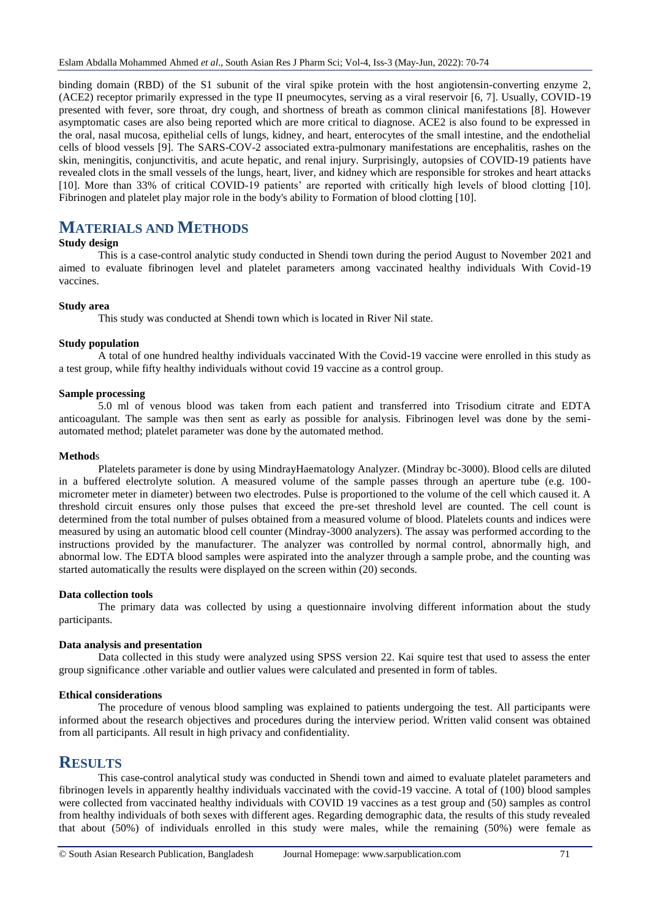binding domain (RBD) of the S1 subunit of the viral spike protein with the host angiotensin-converting enzyme 2, (ACE2) receptor primarily expressed in the type II pneumocytes, serving as a viral reservoir [6, 7]. Usually, COVID-19 presented with fever, sore throat, dry cough, and shortness of breath as common clinical manifestations [8]. However asymptomatic cases are also being reported which are more critical to diagnose. ACE2 is also found to be expressed in the oral, nasal mucosa, epithelial cells of lungs, kidney, and heart, enterocytes of the small intestine, and the endothelial cells of blood vessels [9]. The SARS-COV-2 associated extra-pulmonary manifestations are encephalitis, rashes on the skin, meningitis, conjunctivitis, and acute hepatic, and renal injury. Surprisingly, autopsies of COVID-19 patients have revealed clots in the small vessels of the lungs, heart, liver, and kidney which are responsible for strokes and heart attacks [10]. More than 33% of critical COVID-19 patients' are reported with critically high levels of blood clotting [10]. Fibrinogen and platelet play major role in the body's ability to Formation of blood clotting [10].

# **MATERIALS AND METHODS**

### **Study design**

This is a case-control analytic study conducted in Shendi town during the period August to November 2021 and aimed to evaluate fibrinogen level and platelet parameters among vaccinated healthy individuals With Covid-19 vaccines.

### **Study area**

This study was conducted at Shendi town which is located in River Nil state.

### **Study population**

A total of one hundred healthy individuals vaccinated With the Covid-19 vaccine were enrolled in this study as a test group, while fifty healthy individuals without covid 19 vaccine as a control group.

### **Sample processing**

5.0 ml of venous blood was taken from each patient and transferred into Trisodium citrate and EDTA anticoagulant. The sample was then sent as early as possible for analysis. Fibrinogen level was done by the semiautomated method; platelet parameter was done by the automated method.

### **Method**s

Platelets parameter is done by using MindrayHaematology Analyzer. (Mindray bc-3000). Blood cells are diluted in a buffered electrolyte solution. A measured volume of the sample passes through an aperture tube (e.g. 100 micrometer meter in diameter) between two electrodes. Pulse is proportioned to the volume of the cell which caused it. A threshold circuit ensures only those pulses that exceed the pre-set threshold level are counted. The cell count is determined from the total number of pulses obtained from a measured volume of blood. Platelets counts and indices were measured by using an automatic blood cell counter (Mindray-3000 analyzers). The assay was performed according to the instructions provided by the manufacturer. The analyzer was controlled by normal control, abnormally high, and abnormal low. The EDTA blood samples were aspirated into the analyzer through a sample probe, and the counting was started automatically the results were displayed on the screen within (20) seconds.

### **Data collection tools**

The primary data was collected by using a questionnaire involving different information about the study participants.

### **Data analysis and presentation**

Data collected in this study were analyzed using SPSS version 22. Kai squire test that used to assess the enter group significance .other variable and outlier values were calculated and presented in form of tables.

#### **Ethical considerations**

The procedure of venous blood sampling was explained to patients undergoing the test. All participants were informed about the research objectives and procedures during the interview period. Written valid consent was obtained from all participants. All result in high privacy and confidentiality.

## **RESULTS**

This case-control analytical study was conducted in Shendi town and aimed to evaluate platelet parameters and fibrinogen levels in apparently healthy individuals vaccinated with the covid-19 vaccine. A total of (100) blood samples were collected from vaccinated healthy individuals with COVID 19 vaccines as a test group and (50) samples as control from healthy individuals of both sexes with different ages. Regarding demographic data, the results of this study revealed that about (50%) of individuals enrolled in this study were males, while the remaining (50%) were female as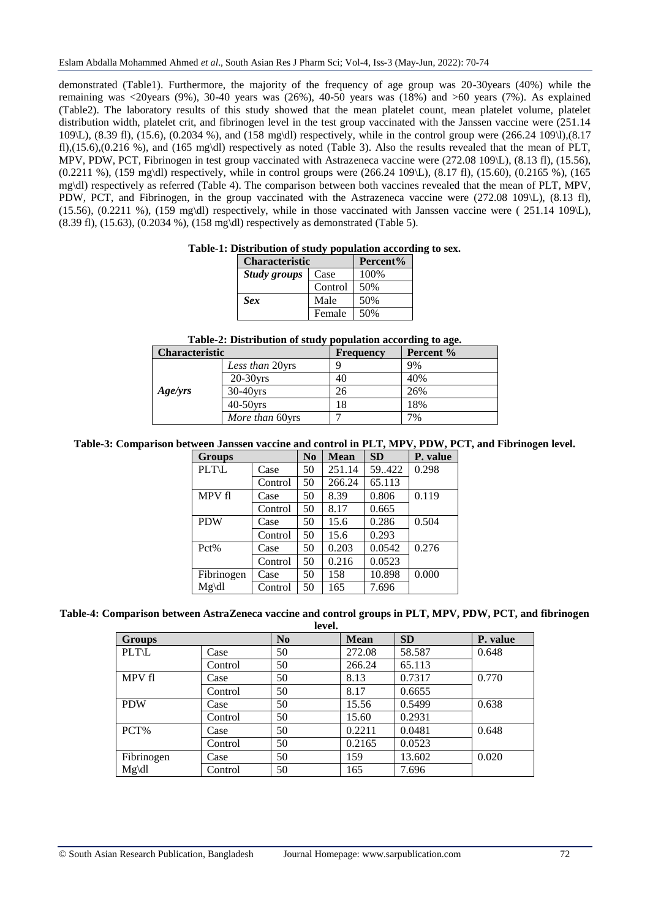demonstrated (Table1). Furthermore, the majority of the frequency of age group was 20-30years (40%) while the remaining was <20years (9%), 30-40 years was (26%), 40-50 years was (18%) and >60 years (7%). As explained (Table2). The laboratory results of this study showed that the mean platelet count, mean platelet volume, platelet distribution width, platelet crit, and fibrinogen level in the test group vaccinated with the Janssen vaccine were (251.14 109\L), (8.39 fl), (15.6), (0.2034 %), and (158 mg\dl) respectively, while in the control group were (266.24 109\l),(8.17 fl),(15.6),(0.216 %), and (165 mg\dl) respectively as noted (Table 3). Also the results revealed that the mean of PLT, MPV, PDW, PCT, Fibrinogen in test group vaccinated with Astrazeneca vaccine were (272.08 109\L), (8.13 fl), (15.56), (0.2211 %), (159 mg\dl) respectively, while in control groups were (266.24 109\L), (8.17 fl), (15.60), (0.2165 %), (165 mg\dl) respectively as referred (Table 4). The comparison between both vaccines revealed that the mean of PLT, MPV, PDW, PCT, and Fibrinogen, in the group vaccinated with the Astrazeneca vaccine were (272.08 109\L), (8.13 fl), (15.56), (0.2211 %), (159 mg\dl) respectively, while in those vaccinated with Janssen vaccine were (  $251.14$  109\L), (8.39 fl), (15.63), (0.2034 %), (158 mg\dl) respectively as demonstrated (Table 5).

### **Table-1: Distribution of study population according to sex.**

| <b>Characteristic</b> | Percent% |      |
|-----------------------|----------|------|
| <b>Study groups</b>   | Case     | 100% |
|                       | Control  | 50%  |
| <b>Sex</b>            | Male     | 50%  |
|                       | Female   | 50%  |

### **Table-2: Distribution of study population according to age.**

| <b>Characteristic</b> |                 | <b>Frequency</b> | Percent % |
|-----------------------|-----------------|------------------|-----------|
|                       | Less than 20yrs |                  | 9%        |
|                       | $20-30$ vrs     | 40               | 40%       |
| Age/yrs               | $30-40$ yrs     | 26               | 26%       |
|                       | $40-50$ vrs     | 18               | 18%       |
|                       | More than 60yrs |                  | 7%        |

### **Table-3: Comparison between Janssen vaccine and control in PLT, MPV, PDW, PCT, and Fibrinogen level.**

| <b>Groups</b> |         | $\bf No$ | <b>Mean</b> | <b>SD</b> | P. value |
|---------------|---------|----------|-------------|-----------|----------|
| <b>PLT\L</b>  | Case    | 50       | 251.14      | 59.422    | 0.298    |
|               | Control | 50       | 266.24      | 65.113    |          |
| MPV fl        | Case    | 50       | 8.39        | 0.806     | 0.119    |
|               | Control | 50       | 8.17        | 0.665     |          |
| <b>PDW</b>    | Case    | 50       | 15.6        | 0.286     | 0.504    |
|               | Control | 50       | 15.6        | 0.293     |          |
| Pct%          | Case    | 50       | 0.203       | 0.0542    | 0.276    |
|               | Control | 50       | 0.216       | 0.0523    |          |
| Fibrinogen    | Case    | 50       | 158         | 10.898    | 0.000    |
| $Mg\ddot{dl}$ | Control | 50       | 165         | 7.696     |          |

#### **Table-4: Comparison between AstraZeneca vaccine and control groups in PLT, MPV, PDW, PCT, and fibrinogen level.**

| <b>Groups</b> |         | $\bf No$ | <b>Mean</b> | <b>SD</b> | P. value |
|---------------|---------|----------|-------------|-----------|----------|
| <b>PLT\L</b>  | Case    | 50       | 272.08      | 58.587    | 0.648    |
|               | Control | 50       | 266.24      | 65.113    |          |
| MPV fl        | Case    | 50       | 8.13        | 0.7317    | 0.770    |
|               | Control | 50       | 8.17        | 0.6655    |          |
| <b>PDW</b>    | Case    | 50       | 15.56       | 0.5499    | 0.638    |
|               | Control | 50       | 15.60       | 0.2931    |          |
| PCT%          | Case    | 50       | 0.2211      | 0.0481    | 0.648    |
|               | Control | 50       | 0.2165      | 0.0523    |          |
| Fibrinogen    | Case    | 50       | 159         | 13.602    | 0.020    |
| $Mg\ddot{dl}$ | Control | 50       | 165         | 7.696     |          |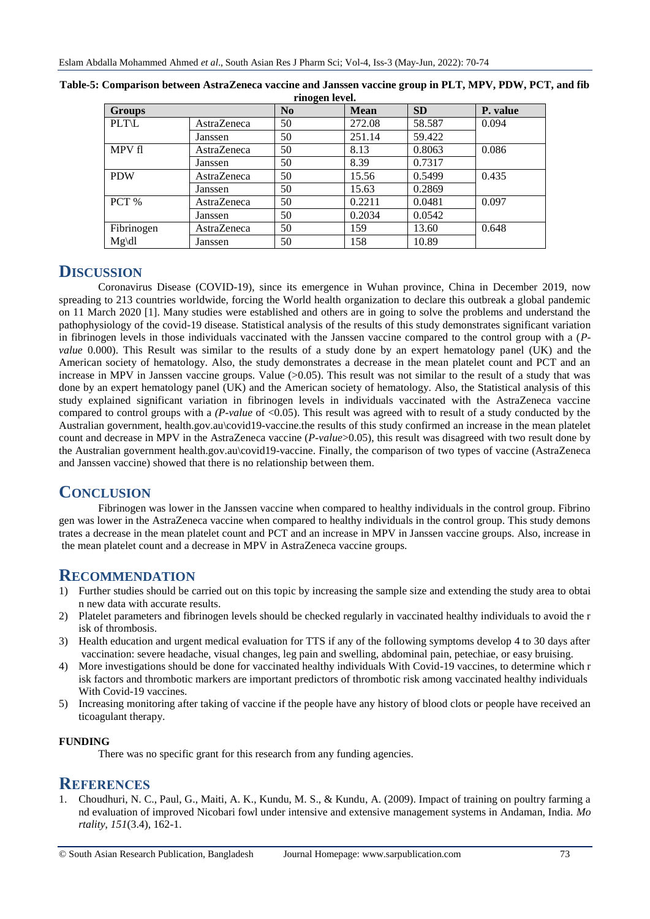| <b>Groups</b> |             | N <sub>0</sub> | $1.1110 \pm 0.11100$<br><b>Mean</b> | <b>SD</b> | P. value |
|---------------|-------------|----------------|-------------------------------------|-----------|----------|
| <b>PLT\L</b>  | AstraZeneca | 50             | 272.08                              | 58.587    | 0.094    |
|               | Janssen     | 50             | 251.14                              | 59.422    |          |
| MPV fl        | AstraZeneca | 50             | 8.13                                | 0.8063    | 0.086    |
|               | Janssen     | 50             | 8.39                                | 0.7317    |          |
| <b>PDW</b>    | AstraZeneca | 50             | 15.56                               | 0.5499    | 0.435    |
|               | Janssen     | 50             | 15.63                               | 0.2869    |          |
| PCT %         | AstraZeneca | 50             | 0.2211                              | 0.0481    | 0.097    |
|               | Janssen     | 50             | 0.2034                              | 0.0542    |          |
| Fibrinogen    | AstraZeneca | 50             | 159                                 | 13.60     | 0.648    |
| $Mg\ddot{dl}$ | Janssen     | 50             | 158                                 | 10.89     |          |

| Table-5: Comparison between AstraZeneca vaccine and Janssen vaccine group in PLT, MPV, PDW, PCT, and fib |
|----------------------------------------------------------------------------------------------------------|
| rinogen level.                                                                                           |

# **DISCUSSION**

Coronavirus Disease (COVID-19), since its emergence in Wuhan province, China in December 2019, now spreading to 213 countries worldwide, forcing the World health organization to declare this outbreak a global pandemic on 11 March 2020 [1]. Many studies were established and others are in going to solve the problems and understand the pathophysiology of the covid-19 disease. Statistical analysis of the results of this study demonstrates significant variation in fibrinogen levels in those individuals vaccinated with the Janssen vaccine compared to the control group with a (*Pvalue* 0.000). This Result was similar to the results of a study done by an expert hematology panel (UK) and the American society of hematology. Also, the study demonstrates a decrease in the mean platelet count and PCT and an increase in MPV in Janssen vaccine groups. Value (>0.05). This result was not similar to the result of a study that was done by an expert hematology panel (UK) and the American society of hematology. Also, the Statistical analysis of this study explained significant variation in fibrinogen levels in individuals vaccinated with the AstraZeneca vaccine compared to control groups with a *(P-value* of <0.05). This result was agreed with to result of a study conducted by the Australian government, health.gov.au\covid19-vaccine.the results of this study confirmed an increase in the mean platelet count and decrease in MPV in the AstraZeneca vaccine (*P-value*>0.05), this result was disagreed with two result done by the Australian government health.gov.au\covid19-vaccine. Finally, the comparison of two types of vaccine (AstraZeneca and Janssen vaccine) showed that there is no relationship between them.

# **CONCLUSION**

Fibrinogen was lower in the Janssen vaccine when compared to healthy individuals in the control group. Fibrino gen was lower in the AstraZeneca vaccine when compared to healthy individuals in the control group. This study demons trates a decrease in the mean platelet count and PCT and an increase in MPV in Janssen vaccine groups. Also, increase in the mean platelet count and a decrease in MPV in AstraZeneca vaccine groups.

# **RECOMMENDATION**

- 1) Further studies should be carried out on this topic by increasing the sample size and extending the study area to obtai n new data with accurate results.
- 2) Platelet parameters and fibrinogen levels should be checked regularly in vaccinated healthy individuals to avoid the r isk of thrombosis.
- 3) Health education and urgent medical evaluation for TTS if any of the following symptoms develop 4 to 30 days after vaccination: severe headache, visual changes, leg pain and swelling, abdominal pain, petechiae, or easy bruising.
- 4) More investigations should be done for vaccinated healthy individuals With Covid-19 vaccines, to determine which r isk factors and thrombotic markers are important predictors of thrombotic risk among vaccinated healthy individuals With Covid-19 vaccines.
- 5) Increasing monitoring after taking of vaccine if the people have any history of blood clots or people have received an ticoagulant therapy.

## **FUNDING**

There was no specific grant for this research from any funding agencies.

## **REFERENCES**

1. Choudhuri, N. C., Paul, G., Maiti, A. K., Kundu, M. S., & Kundu, A. (2009). Impact of training on poultry farming a nd evaluation of improved Nicobari fowl under intensive and extensive management systems in Andaman, India. *Mo rtality*, *151*(3.4), 162-1.